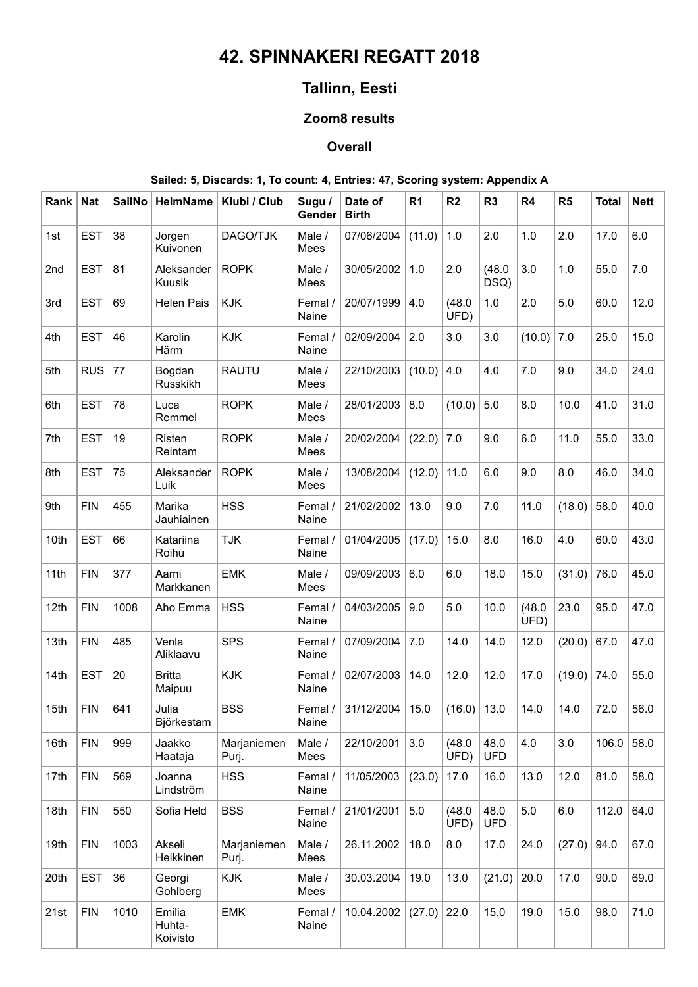# **42. SPINNAKERI REGATT 2018**

# **Tallinn, Eesti**

## **Zoom8 results**

### **Overall**

### **Sailed: 5, Discards: 1, To count: 4, Entries: 47, Scoring system: Appendix A**

| Rank | <b>Nat</b> | <b>SailNo</b> | <b>HelmName</b>              | Klubi / Club         | Sugu /<br>Gender | Date of<br><b>Birth</b> | R <sub>1</sub> | R <sub>2</sub> | R <sub>3</sub>     | R4             | R5     | <b>Total</b> | <b>Nett</b> |
|------|------------|---------------|------------------------------|----------------------|------------------|-------------------------|----------------|----------------|--------------------|----------------|--------|--------------|-------------|
| 1st  | <b>EST</b> | 38            | Jorgen<br>Kuivonen           | DAGO/TJK             | Male /<br>Mees   | 07/06/2004              | (11.0)         | 1.0            | 2.0                | 1.0            | 2.0    | 17.0         | 6.0         |
| 2nd  | <b>EST</b> | 81            | Aleksander<br>Kuusik         | <b>ROPK</b>          | Male /<br>Mees   | 30/05/2002              | 1.0            | 2.0            | (48.0)<br>DSQ)     | 3.0            | 1.0    | 55.0         | 7.0         |
| 3rd  | <b>EST</b> | 69            | <b>Helen Pais</b>            | <b>KJK</b>           | Femal /<br>Naine | 20/07/1999              | 4.0            | (48.0)<br>UFD) | 1.0                | 2.0            | 5.0    | 60.0         | 12.0        |
| 4th  | <b>EST</b> | 46            | Karolin<br>Härm              | <b>KJK</b>           | Femal /<br>Naine | 02/09/2004              | 2.0            | 3.0            | 3.0                | (10.0)         | 7.0    | 25.0         | 15.0        |
| 5th  | <b>RUS</b> | 77            | Bogdan<br>Russkikh           | <b>RAUTU</b>         | Male /<br>Mees   | 22/10/2003              | (10.0)         | 4.0            | 4.0                | 7.0            | 9.0    | 34.0         | 24.0        |
| 6th  | <b>EST</b> | 78            | Luca<br>Remmel               | <b>ROPK</b>          | Male /<br>Mees   | 28/01/2003              | 8.0            | (10.0)         | 5.0                | 8.0            | 10.0   | 41.0         | 31.0        |
| 7th  | <b>EST</b> | 19            | Risten<br>Reintam            | <b>ROPK</b>          | Male /<br>Mees   | 20/02/2004              | (22.0)         | 7.0            | 9.0                | 6.0            | 11.0   | 55.0         | 33.0        |
| 8th  | <b>EST</b> | 75            | Aleksander<br>Luik           | <b>ROPK</b>          | Male /<br>Mees   | 13/08/2004              | (12.0)         | 11.0           | 6.0                | 9.0            | 8.0    | 46.0         | 34.0        |
| 9th  | <b>FIN</b> | 455           | Marika<br>Jauhiainen         | <b>HSS</b>           | Femal /<br>Naine | 21/02/2002              | 13.0           | 9.0            | 7.0                | 11.0           | (18.0) | 58.0         | 40.0        |
| 10th | <b>EST</b> | 66            | Katariina<br>Roihu           | <b>TJK</b>           | Femal /<br>Naine | 01/04/2005              | (17.0)         | 15.0           | 8.0                | 16.0           | 4.0    | 60.0         | 43.0        |
| 11th | <b>FIN</b> | 377           | Aarni<br>Markkanen           | <b>EMK</b>           | Male /<br>Mees   | 09/09/2003              | 6.0            | 6.0            | 18.0               | 15.0           | (31.0) | 76.0         | 45.0        |
| 12th | <b>FIN</b> | 1008          | Aho Emma                     | <b>HSS</b>           | Femal /<br>Naine | 04/03/2005              | 9.0            | 5.0            | 10.0               | (48.0)<br>UFD) | 23.0   | 95.0         | 47.0        |
| 13th | <b>FIN</b> | 485           | Venla<br>Aliklaavu           | <b>SPS</b>           | Femal /<br>Naine | 07/09/2004              | 7.0            | 14.0           | 14.0               | 12.0           | (20.0) | 67.0         | 47.0        |
| 14th | <b>EST</b> | 20            | <b>Britta</b><br>Maipuu      | <b>KJK</b>           | Femal /<br>Naine | 02/07/2003              | 14.0           | 12.0           | 12.0               | 17.0           | (19.0) | 74.0         | 55.0        |
| 15th | <b>FIN</b> | 641           | Julia<br>Björkestam          | <b>BSS</b>           | Femal /<br>Naine | 31/12/2004              | 15.0           | (16.0)         | 13.0               | 14.0           | 14.0   | 72.0         | 56.0        |
| 16th | <b>FIN</b> | 999           | Jaakko<br>Haataja            | Marjaniemen<br>Purj. | Male /<br>Mees   | 22/10/2001              | 3.0            | (48.0)<br>UFD) | 48.0<br><b>UFD</b> | 4.0            | 3.0    | 106.0        | 58.0        |
| 17th | <b>FIN</b> | 569           | Joanna<br>Lindström          | <b>HSS</b>           | Femal /<br>Naine | 11/05/2003              | (23.0)         | 17.0           | 16.0               | 13.0           | 12.0   | 81.0         | 58.0        |
| 18th | <b>FIN</b> | 550           | Sofia Held                   | <b>BSS</b>           | Femal /<br>Naine | 21/01/2001              | $5.0\,$        | (48.0)<br>UFD) | 48.0<br><b>UFD</b> | 5.0            | 6.0    | 112.0        | 64.0        |
| 19th | <b>FIN</b> | 1003          | Akseli<br>Heikkinen          | Marjaniemen<br>Purj. | Male /<br>Mees   | 26.11.2002              | 18.0           | 8.0            | 17.0               | 24.0           | (27.0) | 94.0         | 67.0        |
| 20th | <b>EST</b> | 36            | Georgi<br>Gohlberg           | KJK                  | Male /<br>Mees   | 30.03.2004              | 19.0           | 13.0           | (21.0)             | 20.0           | 17.0   | 90.0         | 69.0        |
| 21st | <b>FIN</b> | 1010          | Emilia<br>Huhta-<br>Koivisto | <b>EMK</b>           | Femal /<br>Naine | 10.04.2002              | (27.0)         | 22.0           | 15.0               | 19.0           | 15.0   | 98.0         | 71.0        |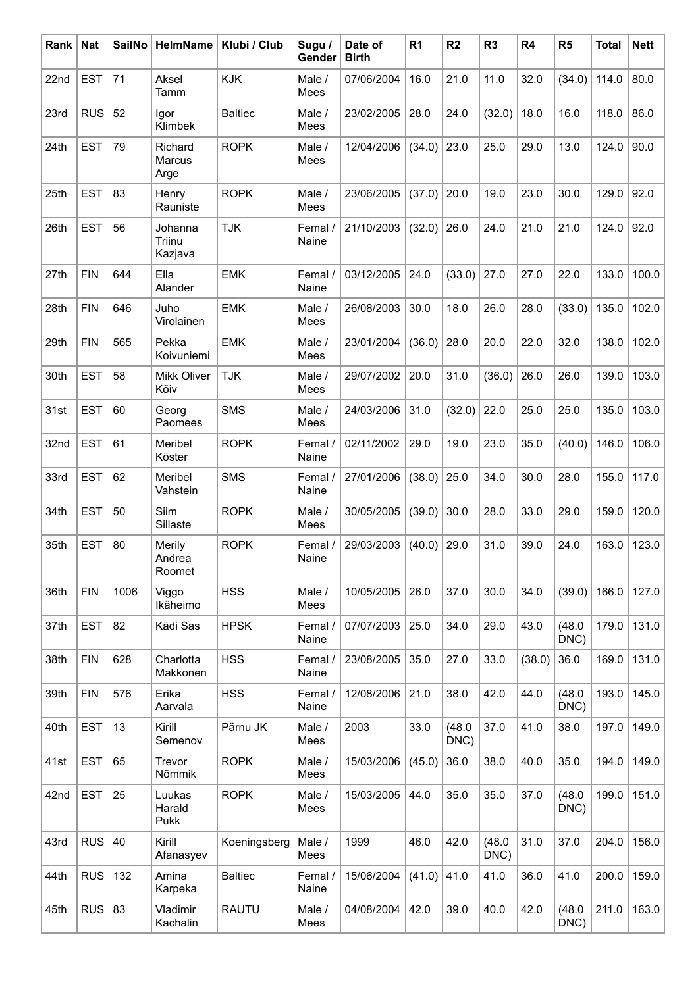| Rank | <b>Nat</b> | <b>SailNo</b> | <b>HelmName</b>                     | Klubi / Club   | Sugu /<br>Gender | Date of<br><b>Birth</b> | R <sub>1</sub> | R <sub>2</sub> | R <sub>3</sub> | R <sub>4</sub> | R <sub>5</sub> | <b>Total</b> | <b>Nett</b> |
|------|------------|---------------|-------------------------------------|----------------|------------------|-------------------------|----------------|----------------|----------------|----------------|----------------|--------------|-------------|
| 22nd | <b>EST</b> | 71            | Aksel<br>Tamm                       | <b>KJK</b>     | Male /<br>Mees   | 07/06/2004              | 16.0           | 21.0           | 11.0           | 32.0           | (34.0)         | 114.0        | 80.0        |
| 23rd | <b>RUS</b> | 52            | Igor<br>Klimbek                     | <b>Baltiec</b> | Male /<br>Mees   | 23/02/2005              | 28.0           | 24.0           | (32.0)         | 18.0           | 16.0           | 118.0        | 86.0        |
| 24th | <b>EST</b> | 79            | Richard<br><b>Marcus</b><br>Arge    | <b>ROPK</b>    | Male /<br>Mees   | 12/04/2006              | (34.0)         | 23.0           | 25.0           | 29.0           | 13.0           | 124.0        | 90.0        |
| 25th | <b>EST</b> | 83            | Henry<br>Rauniste                   | <b>ROPK</b>    | Male /<br>Mees   | 23/06/2005              | (37.0)         | 20.0           | 19.0           | 23.0           | 30.0           | 129.0        | 92.0        |
| 26th | <b>EST</b> | 56            | Johanna<br><b>Triinu</b><br>Kazjava | <b>TJK</b>     | Femal /<br>Naine | 21/10/2003              | (32.0)         | 26.0           | 24.0           | 21.0           | 21.0           | 124.0        | 92.0        |
| 27th | <b>FIN</b> | 644           | Ella<br>Alander                     | <b>EMK</b>     | Femal /<br>Naine | 03/12/2005              | 24.0           | (33.0)         | 27.0           | 27.0           | 22.0           | 133.0        | 100.0       |
| 28th | <b>FIN</b> | 646           | Juho<br>Virolainen                  | <b>EMK</b>     | Male /<br>Mees   | 26/08/2003              | 30.0           | 18.0           | 26.0           | 28.0           | (33.0)         | 135.0        | 102.0       |
| 29th | <b>FIN</b> | 565           | Pekka<br>Koivuniemi                 | <b>EMK</b>     | Male /<br>Mees   | 23/01/2004              | (36.0)         | 28.0           | 20.0           | 22.0           | 32.0           | 138.0        | 102.0       |
| 30th | <b>EST</b> | 58            | <b>Mikk Oliver</b><br>Kõiv          | <b>TJK</b>     | Male /<br>Mees   | 29/07/2002              | 20.0           | 31.0           | (36.0)         | 26.0           | 26.0           | 139.0        | 103.0       |
| 31st | <b>EST</b> | 60            | Georg<br>Paomees                    | <b>SMS</b>     | Male /<br>Mees   | 24/03/2006              | 31.0           | (32.0)         | 22.0           | 25.0           | 25.0           | 135.0        | 103.0       |
| 32nd | <b>EST</b> | 61            | Meribel<br>Köster                   | <b>ROPK</b>    | Femal /<br>Naine | 02/11/2002              | 29.0           | 19.0           | 23.0           | 35.0           | (40.0)         | 146.0        | 106.0       |
| 33rd | <b>EST</b> | 62            | Meribel<br>Vahstein                 | <b>SMS</b>     | Femal /<br>Naine | 27/01/2006              | (38.0)         | 25.0           | 34.0           | 30.0           | 28.0           | 155.0        | 117.0       |
| 34th | <b>EST</b> | 50            | Siim<br>Sillaste                    | <b>ROPK</b>    | Male /<br>Mees   | 30/05/2005              | (39.0)         | 30.0           | 28.0           | 33.0           | 29.0           | 159.0        | 120.0       |
| 35th | <b>EST</b> | 80            | Merily<br>Andrea<br>Roomet          | <b>ROPK</b>    | Femal /<br>Naine | 29/03/2003              | (40.0)         | 29.0           | 31.0           | 39.0           | 24.0           | 163.0        | 123.0       |
| 36th | <b>FIN</b> | 1006          | Viggo<br>Ikäheimo                   | <b>HSS</b>     | Male /<br>Mees   | 10/05/2005              | 26.0           | 37.0           | 30.0           | 34.0           | (39.0)         | 166.0        | 127.0       |
| 37th | <b>EST</b> | 82            | Kädi Sas                            | <b>HPSK</b>    | Femal /<br>Naine | 07/07/2003              | 25.0           | 34.0           | 29.0           | 43.0           | (48.0)<br>DNC) | 179.0        | 131.0       |
| 38th | <b>FIN</b> | 628           | Charlotta<br>Makkonen               | <b>HSS</b>     | Femal /<br>Naine | 23/08/2005              | 35.0           | 27.0           | 33.0           | (38.0)         | 36.0           | 169.0        | 131.0       |
| 39th | <b>FIN</b> | 576           | Erika<br>Aarvala                    | <b>HSS</b>     | Femal /<br>Naine | 12/08/2006              | 21.0           | 38.0           | 42.0           | 44.0           | (48.0)<br>DNC) | 193.0        | 145.0       |
| 40th | <b>EST</b> | 13            | Kirill<br>Semenov                   | Pärnu JK       | Male /<br>Mees   | 2003                    | 33.0           | (48.0)<br>DNC) | 37.0           | 41.0           | 38.0           | 197.0        | 149.0       |
| 41st | <b>EST</b> | 65            | Trevor<br>Nõmmik                    | <b>ROPK</b>    | Male /<br>Mees   | 15/03/2006              | (45.0)         | 36.0           | 38.0           | 40.0           | 35.0           | 194.0        | 149.0       |
| 42nd | <b>EST</b> | 25            | Luukas<br>Harald<br>Pukk            | <b>ROPK</b>    | Male /<br>Mees   | 15/03/2005              | 44.0           | 35.0           | 35.0           | 37.0           | (48.0)<br>DNC) | 199.0        | 151.0       |
| 43rd | <b>RUS</b> | 40            | Kirill<br>Afanasyev                 | Koeningsberg   | Male /<br>Mees   | 1999                    | 46.0           | 42.0           | (48.0)<br>DNC) | 31.0           | 37.0           | 204.0        | 156.0       |
| 44th | <b>RUS</b> | 132           | Amina<br>Karpeka                    | <b>Baltiec</b> | Femal /<br>Naine | 15/06/2004              | (41.0)         | 41.0           | 41.0           | 36.0           | 41.0           | 200.0        | 159.0       |
| 45th | <b>RUS</b> | 83            | Vladimir<br>Kachalin                | <b>RAUTU</b>   | Male /<br>Mees   | 04/08/2004              | 42.0           | 39.0           | 40.0           | 42.0           | (48.0)<br>DNC) | 211.0        | 163.0       |